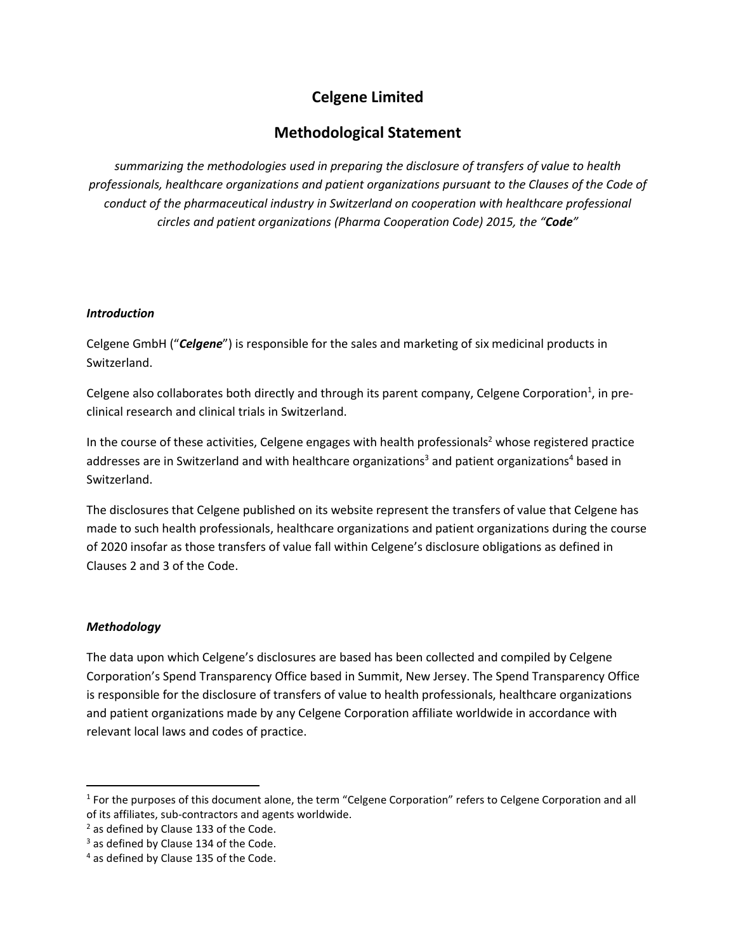# **Celgene Limited**

# **Methodological Statement**

*summarizing the methodologies used in preparing the disclosure of transfers of value to health professionals, healthcare organizations and patient organizations pursuant to the Clauses of the Code of conduct of the pharmaceutical industry in Switzerland on cooperation with healthcare professional circles and patient organizations (Pharma Cooperation Code) 2015, the "Code"*

## *Introduction*

Celgene GmbH ("*Celgene*") is responsible for the sales and marketing of six medicinal products in Switzerland.

Celgene also collaborates both directly and through its parent company, Celgene Corporation<sup>1</sup>, in preclinical research and clinical trials in Switzerland.

In the course of these activities, Celgene engages with health professionals<sup>2</sup> whose registered practice addresses are in Switzerland and with healthcare organizations<sup>3</sup> and patient organizations<sup>4</sup> based in Switzerland.

The disclosures that Celgene published on its website represent the transfers of value that Celgene has made to such health professionals, healthcare organizations and patient organizations during the course of 2020 insofar as those transfers of value fall within Celgene's disclosure obligations as defined in Clauses 2 and 3 of the Code.

# *Methodology*

The data upon which Celgene's disclosures are based has been collected and compiled by Celgene Corporation's Spend Transparency Office based in Summit, New Jersey. The Spend Transparency Office is responsible for the disclosure of transfers of value to health professionals, healthcare organizations and patient organizations made by any Celgene Corporation affiliate worldwide in accordance with relevant local laws and codes of practice.

<sup>&</sup>lt;sup>1</sup> For the purposes of this document alone, the term "Celgene Corporation" refers to Celgene Corporation and all of its affiliates, sub-contractors and agents worldwide.

<sup>&</sup>lt;sup>2</sup> as defined by Clause 133 of the Code.

 $3$  as defined by Clause 134 of the Code.

<sup>4</sup> as defined by Clause 135 of the Code.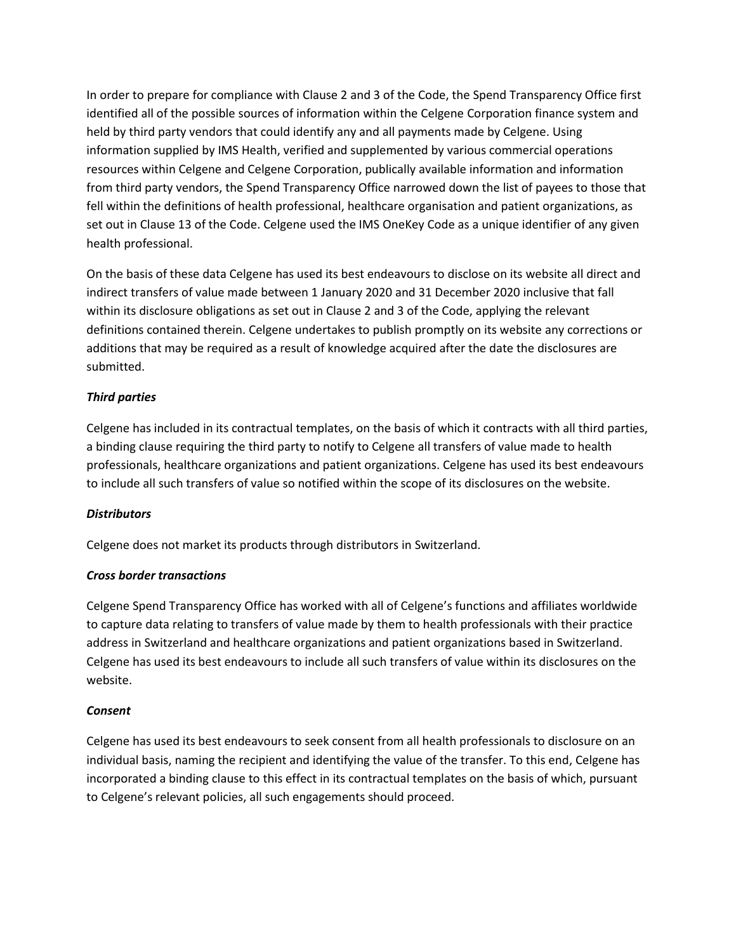In order to prepare for compliance with Clause 2 and 3 of the Code, the Spend Transparency Office first identified all of the possible sources of information within the Celgene Corporation finance system and held by third party vendors that could identify any and all payments made by Celgene. Using information supplied by IMS Health, verified and supplemented by various commercial operations resources within Celgene and Celgene Corporation, publically available information and information from third party vendors, the Spend Transparency Office narrowed down the list of payees to those that fell within the definitions of health professional, healthcare organisation and patient organizations, as set out in Clause 13 of the Code. Celgene used the IMS OneKey Code as a unique identifier of any given health professional.

On the basis of these data Celgene has used its best endeavours to disclose on its website all direct and indirect transfers of value made between 1 January 2020 and 31 December 2020 inclusive that fall within its disclosure obligations as set out in Clause 2 and 3 of the Code, applying the relevant definitions contained therein. Celgene undertakes to publish promptly on its website any corrections or additions that may be required as a result of knowledge acquired after the date the disclosures are submitted.

## *Third parties*

Celgene has included in its contractual templates, on the basis of which it contracts with all third parties, a binding clause requiring the third party to notify to Celgene all transfers of value made to health professionals, healthcare organizations and patient organizations. Celgene has used its best endeavours to include all such transfers of value so notified within the scope of its disclosures on the website.

#### *Distributors*

Celgene does not market its products through distributors in Switzerland.

#### *Cross border transactions*

Celgene Spend Transparency Office has worked with all of Celgene's functions and affiliates worldwide to capture data relating to transfers of value made by them to health professionals with their practice address in Switzerland and healthcare organizations and patient organizations based in Switzerland. Celgene has used its best endeavours to include all such transfers of value within its disclosures on the website.

#### *Consent*

Celgene has used its best endeavours to seek consent from all health professionals to disclosure on an individual basis, naming the recipient and identifying the value of the transfer. To this end, Celgene has incorporated a binding clause to this effect in its contractual templates on the basis of which, pursuant to Celgene's relevant policies, all such engagements should proceed.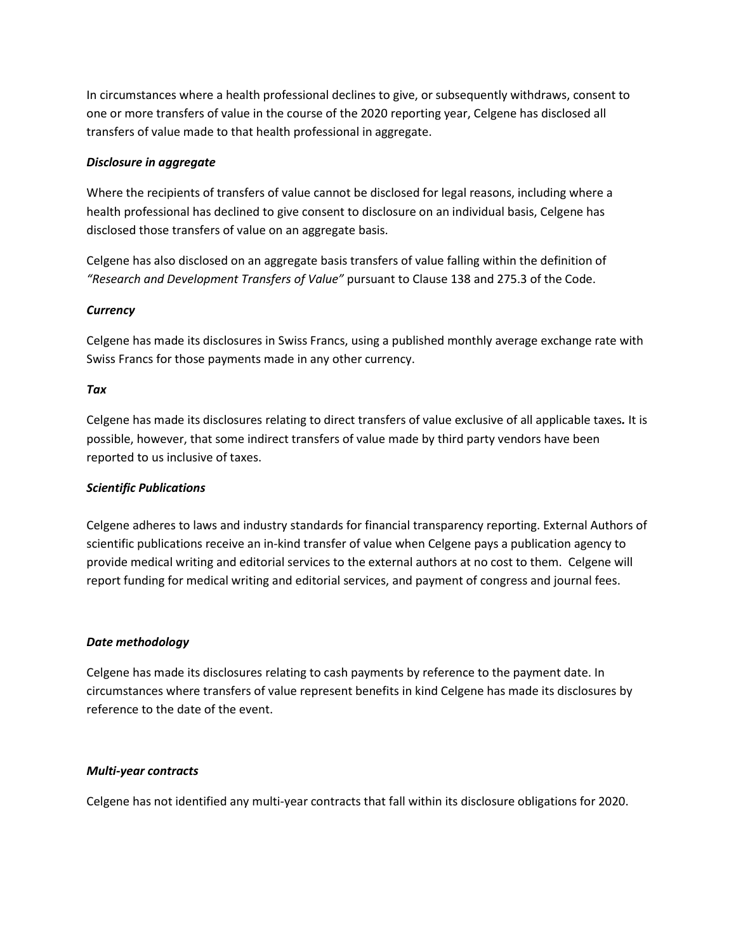In circumstances where a health professional declines to give, or subsequently withdraws, consent to one or more transfers of value in the course of the 2020 reporting year, Celgene has disclosed all transfers of value made to that health professional in aggregate.

#### *Disclosure in aggregate*

Where the recipients of transfers of value cannot be disclosed for legal reasons, including where a health professional has declined to give consent to disclosure on an individual basis, Celgene has disclosed those transfers of value on an aggregate basis.

Celgene has also disclosed on an aggregate basis transfers of value falling within the definition of *"Research and Development Transfers of Value"* pursuant to Clause 138 and 275.3 of the Code.

#### *Currency*

Celgene has made its disclosures in Swiss Francs, using a published monthly average exchange rate with Swiss Francs for those payments made in any other currency.

#### *Tax*

Celgene has made its disclosures relating to direct transfers of value exclusive of all applicable taxes*.* It is possible, however, that some indirect transfers of value made by third party vendors have been reported to us inclusive of taxes.

#### *Scientific Publications*

Celgene adheres to laws and industry standards for financial transparency reporting. External Authors of scientific publications receive an in-kind transfer of value when Celgene pays a publication agency to provide medical writing and editorial services to the external authors at no cost to them. Celgene will report funding for medical writing and editorial services, and payment of congress and journal fees.

#### *Date methodology*

Celgene has made its disclosures relating to cash payments by reference to the payment date. In circumstances where transfers of value represent benefits in kind Celgene has made its disclosures by reference to the date of the event.

#### *Multi-year contracts*

Celgene has not identified any multi-year contracts that fall within its disclosure obligations for 2020.